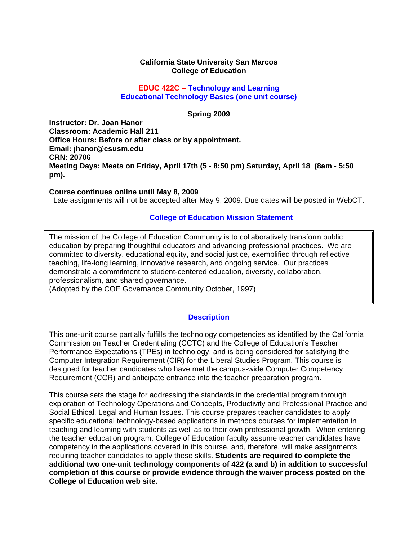#### **California State University San Marcos College of Education**

#### **EDUC 422C – Technology and Learning Educational Technology Basics (one unit course)**

#### **Spring 2009**

**Instructor: Dr. Joan Hanor Classroom: Academic Hall 211 Office Hours: Before or after class or by appointment. Email: jhanor@csusm.edu CRN: 20706 Meeting Days: Meets on Friday, April 17th (5 - 8:50 pm) Saturday, April 18 (8am - 5:50 pm).** 

#### **Course continues online until May 8, 2009**

Late assignments will not be accepted after May 9, 2009. Due dates will be posted in WebCT.

#### **College of Education Mission Statement**

 education by preparing thoughtful educators and advancing professional practices. We are The mission of the College of Education Community is to collaboratively transform public committed to diversity, educational equity, and social justice, exemplified through reflective teaching, life-long learning, innovative research, and ongoing service. Our practices demonstrate a commitment to student-centered education, diversity, collaboration, professionalism, and shared governance.

(Adopted by the COE Governance Community October, 1997)

#### **Description**

This one-unit course partially fulfills the technology competencies as identified by the California Commission on Teacher Credentialing (CCTC) and the College of Education's Teacher Performance Expectations (TPEs) in technology, and is being considered for satisfying the Computer Integration Requirement (CIR) for the Liberal Studies Program. This course is designed for teacher candidates who have met the campus-wide Computer Competency Requirement (CCR) and anticipate entrance into the teacher preparation program.

This course sets the stage for addressing the standards in the credential program through exploration of Technology Operations and Concepts, Productivity and Professional Practice and Social Ethical, Legal and Human Issues. This course prepares teacher candidates to apply specific educational technology-based applications in methods courses for implementation in teaching and learning with students as well as to their own professional growth. When entering the teacher education program, College of Education faculty assume teacher candidates have competency in the applications covered in this course, and, therefore, will make assignments requiring teacher candidates to apply these skills. **Students are required to complete the additional two one-unit technology components of 422 (a and b) in addition to successful completion of this course or provide evidence through the waiver process posted on the College of Education web site.**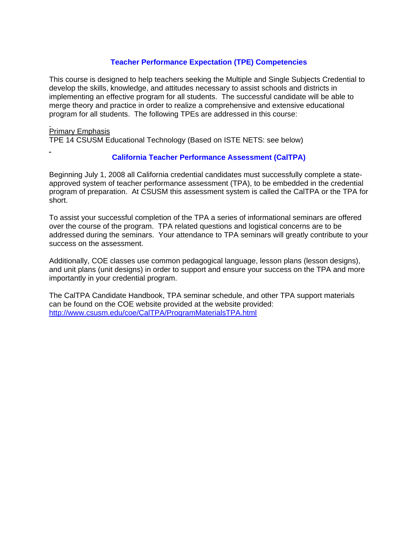# **Teacher Performance Expectation (TPE) Competencies**

This course is designed to help teachers seeking the Multiple and Single Subjects Credential to develop the skills, knowledge, and attitudes necessary to assist schools and districts in implementing an effective program for all students. The successful candidate will be able to merge theory and practice in order to realize a comprehensive and extensive educational program for all students. The following TPEs are addressed in this course:

## Primary Emphasis

TPE 14 CSUSM Educational Technology (Based on ISTE NETS: see below)

# **California Teacher Performance Assessment (CalTPA)**

Beginning July 1, 2008 all California credential candidates must successfully complete a stateapproved system of teacher performance assessment (TPA), to be embedded in the credential program of preparation. At CSUSM this assessment system is called the CalTPA or the TPA for short.

To assist your successful completion of the TPA a series of informational seminars are offered over the course of the program. TPA related questions and logistical concerns are to be addressed during the seminars. Your attendance to TPA seminars will greatly contribute to your success on the assessment.

Additionally, COE classes use common pedagogical language, lesson plans (lesson designs), and unit plans (unit designs) in order to support and ensure your success on the TPA and more importantly in your credential program.

 http://www.csusm.edu/coe/CalTPA/ProgramMaterialsTPA.html The CalTPA Candidate Handbook, TPA seminar schedule, and other TPA support materials can be found on the COE website provided at the website provided: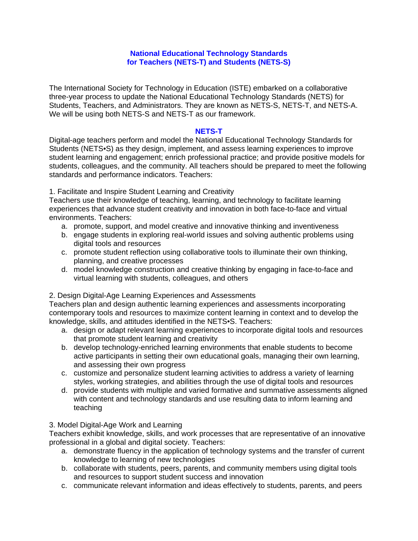## **National Educational Technology Standards for Teachers (NETS-T) and Students (NETS-S)**

The International Society for Technology in Education (ISTE) embarked on a collaborative three-year process to update the National Educational Technology Standards (NETS) for Students, Teachers, and Administrators. They are known as NETS-S, NETS-T, and NETS-A. We will be using both NETS-S and NETS-T as our framework.

#### **NETS-T**

Digital-age teachers perform and model the National Educational Technology Standards for Students (NETS•S) as they design, implement, and assess learning experiences to improve student learning and engagement; enrich professional practice; and provide positive models for students, colleagues, and the community. All teachers should be prepared to meet the following standards and performance indicators. Teachers:

1. Facilitate and Inspire Student Learning and Creativity

 environments. Teachers: Teachers use their knowledge of teaching, learning, and technology to facilitate learning experiences that advance student creativity and innovation in both face-to-face and virtual

- a. promote, support, and model creative and innovative thinking and inventiveness
- b. engage students in exploring real-world issues and solving authentic problems using digital tools and resources
- c. promote student reflection using collaborative tools to illuminate their own thinking, planning, and creative processes
- d. model knowledge construction and creative thinking by engaging in face-to-face and virtual learning with students, colleagues, and others

## 2. Design Digital-Age Learning Experiences and Assessments

Teachers plan and design authentic learning experiences and assessments incorporating contemporary tools and resources to maximize content learning in context and to develop the knowledge, skills, and attitudes identified in the NETS•S. Teachers:

- a. design or adapt relevant learning experiences to incorporate digital tools and resources that promote student learning and creativity
- b. develop technology-enriched learning environments that enable students to become active participants in setting their own educational goals, managing their own learning, and assessing their own progress
- c. customize and personalize student learning activities to address a variety of learning styles, working strategies, and abilities through the use of digital tools and resources
- d. provide students with multiple and varied formative and summative assessments aligned with content and technology standards and use resulting data to inform learning and teaching

## 3. Model Digital-Age Work and Learning

Teachers exhibit knowledge, skills, and work processes that are representative of an innovative professional in a global and digital society. Teachers:

- a. demonstrate fluency in the application of technology systems and the transfer of current knowledge to learning of new technologies
- b. collaborate with students, peers, parents, and community members using digital tools and resources to support student success and innovation
- c. communicate relevant information and ideas effectively to students, parents, and peers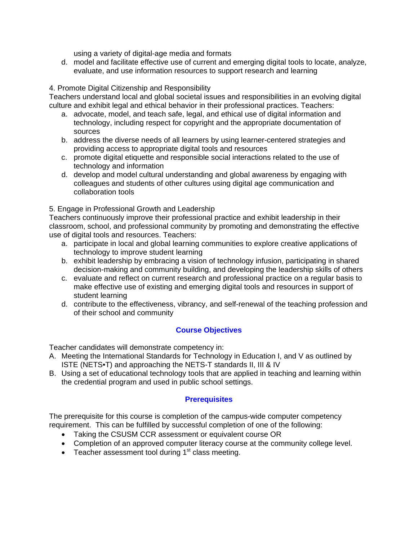using a variety of digital-age media and formats

 evaluate, and use information resources to support research and learning 4. Promote Digital Citizenship and Responsibility d. model and facilitate effective use of current and emerging digital tools to locate, analyze,

Teachers understand local and global societal issues and responsibilities in an evolving digital culture and exhibit legal and ethical behavior in their professional practices. Teachers:

- a. advocate, model, and teach safe, legal, and ethical use of digital information and technology, including respect for copyright and the appropriate documentation of sources
- b. address the diverse needs of all learners by using learner-centered strategies and providing access to appropriate digital tools and resources
- c. promote digital etiquette and responsible social interactions related to the use of technology and information
- d. develop and model cultural understanding and global awareness by engaging with colleagues and students of other cultures using digital age communication and collaboration tools

## 5. Engage in Professional Growth and Leadership

Teachers continuously improve their professional practice and exhibit leadership in their classroom, school, and professional community by promoting and demonstrating the effective use of digital tools and resources. Teachers:

- a. participate in local and global learning communities to explore creative applications of technology to improve student learning
- b. exhibit leadership by embracing a vision of technology infusion, participating in shared decision-making and community building, and developing the leadership skills of others
- c. evaluate and reflect on current research and professional practice on a regular basis to make effective use of existing and emerging digital tools and resources in support of student learning
- d. contribute to the effectiveness, vibrancy, and self-renewal of the teaching profession and of their school and community

## **Course Objectives**

Teacher candidates will demonstrate competency in:

- A. Meeting the International Standards for Technology in Education I, and V as outlined by ISTE (NETS•T) and approaching the NETS-T standards II, III & IV
- B. Using a set of educational technology tools that are applied in teaching and learning within the credential program and used in public school settings.

## **Prerequisites**

The prerequisite for this course is completion of the campus-wide computer competency requirement. This can be fulfilled by successful completion of one of the following:

- Taking the CSUSM CCR assessment or equivalent course OR
- Completion of an approved computer literacy course at the community college level.
- Teacher assessment tool during  $1<sup>st</sup>$  class meeting.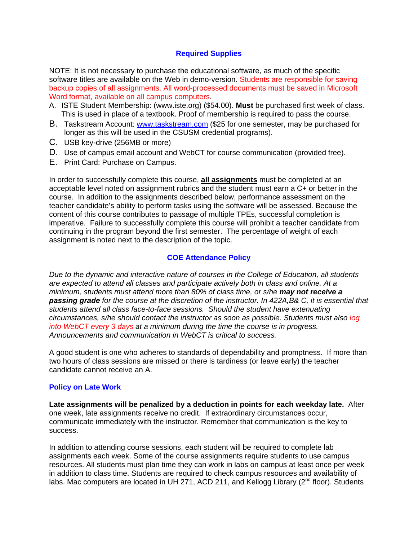## **Required Supplies**

NOTE: It is not necessary to purchase the educational software, as much of the specific software titles are available on the Web in demo-version. Students are responsible for saving backup copies of all assignments. All word-processed documents must be saved in Microsoft Word format, available on all campus computers.

- A. ISTE Student Membership: (www.iste.org) (\$54.00). **Must** be purchased first week of class. This is used in place of a textbook. Proof of membership is required to pass the course.
- B. Taskstream Account: www.taskstream.com (\$25 for one semester, may be purchased for longer as this will be used in the CSUSM credential programs).
- C. USB key-drive (256MB or more)
- D. Use of campus email account and WebCT for course communication (provided free).
- E. Print Card: Purchase on Campus.

In order to successfully complete this course, **all assignments** must be completed at an acceptable level noted on assignment rubrics and the student must earn a C+ or better in the course. In addition to the assignments described below, performance assessment on the teacher candidate's ability to perform tasks using the software will be assessed. Because the content of this course contributes to passage of multiple TPEs, successful completion is imperative. Failure to successfully complete this course will prohibit a teacher candidate from continuing in the program beyond the first semester. The percentage of weight of each assignment is noted next to the description of the topic.

# **COE Attendance Policy**

*Due to the dynamic and interactive nature of courses in the College of Education, all students are expected to attend all classes and participate actively both in class and online. At a minimum, students must attend more than 80% of class time, or s/he may not receive a passing grade for the course at the discretion of the instructor. In 422A,B& C, it is essential that students attend all class face-to-face sessions. Should the student have extenuating circumstances, s/he should contact the instructor as soon as possible. Students must also log into WebCT every 3 days at a minimum during the time the course is in progress. Announcements and communication in WebCT is critical to success.* 

A good student is one who adheres to standards of dependability and promptness. If more than two hours of class sessions are missed or there is tardiness (or leave early) the teacher candidate cannot receive an A.

## **Policy on Late Work**

**Late assignments will be penalized by a deduction in points for each weekday late.** After one week, late assignments receive no credit. If extraordinary circumstances occur, communicate immediately with the instructor. Remember that communication is the key to success.

In addition to attending course sessions, each student will be required to complete lab assignments each week. Some of the course assignments require students to use campus resources. All students must plan time they can work in labs on campus at least once per week in addition to class time. Students are required to check campus resources and availability of labs. Mac computers are located in UH 271, ACD 211, and Kellogg Library (2<sup>nd</sup> floor). Students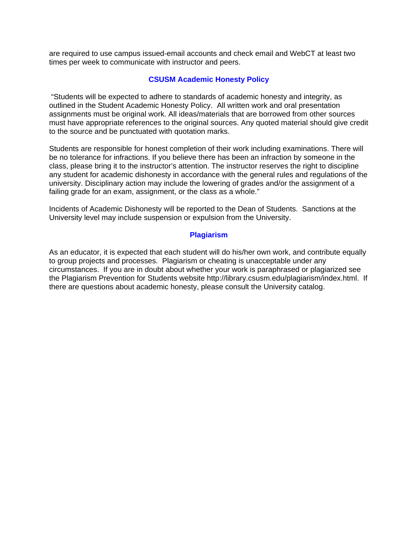are required to use campus issued-email accounts and check email and WebCT at least two times per week to communicate with instructor and peers.

## **CSUSM Academic Honesty Policy**

 "Students will be expected to adhere to standards of academic honesty and integrity, as outlined in the Student Academic Honesty Policy. All written work and oral presentation assignments must be original work. All ideas/materials that are borrowed from other sources must have appropriate references to the original sources. Any quoted material should give credit to the source and be punctuated with quotation marks.

Students are responsible for honest completion of their work including examinations. There will be no tolerance for infractions. If you believe there has been an infraction by someone in the class, please bring it to the instructor's attention. The instructor reserves the right to discipline any student for academic dishonesty in accordance with the general rules and regulations of the university. Disciplinary action may include the lowering of grades and/or the assignment of a failing grade for an exam, assignment, or the class as a whole."

Incidents of Academic Dishonesty will be reported to the Dean of Students. Sanctions at the University level may include suspension or expulsion from the University.

#### **Plagiarism**

As an educator, it is expected that each student will do his/her own work, and contribute equally to group projects and processes. Plagiarism or cheating is unacceptable under any circumstances. If you are in doubt about whether your work is paraphrased or plagiarized see the Plagiarism Prevention for Students website http://library.csusm.edu/plagiarism/index.html. If there are questions about academic honesty, please consult the University catalog.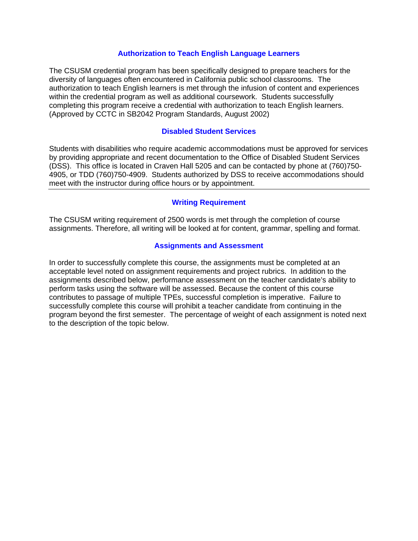## **Authorization to Teach English Language Learners**

The CSUSM credential program has been specifically designed to prepare teachers for the diversity of languages often encountered in California public school classrooms. The authorization to teach English learners is met through the infusion of content and experiences within the credential program as well as additional coursework. Students successfully completing this program receive a credential with authorization to teach English learners. (Approved by CCTC in SB2042 Program Standards, August 2002)

## **Disabled Student Services**

Students with disabilities who require academic accommodations must be approved for services by providing appropriate and recent documentation to the Office of Disabled Student Services (DSS). This office is located in Craven Hall 5205 and can be contacted by phone at (760)750- 4905, or TDD (760)750-4909. Students authorized by DSS to receive accommodations should meet with the instructor during office hours or by appointment.

## **Writing Requirement**

The CSUSM writing requirement of 2500 words is met through the completion of course assignments. Therefore, all writing will be looked at for content, grammar, spelling and format.

## **Assignments and Assessment**

In order to successfully complete this course, the assignments must be completed at an acceptable level noted on assignment requirements and project rubrics. In addition to the assignments described below, performance assessment on the teacher candidate's ability to perform tasks using the software will be assessed. Because the content of this course contributes to passage of multiple TPEs, successful completion is imperative. Failure to successfully complete this course will prohibit a teacher candidate from continuing in the program beyond the first semester. The percentage of weight of each assignment is noted next to the description of the topic below.